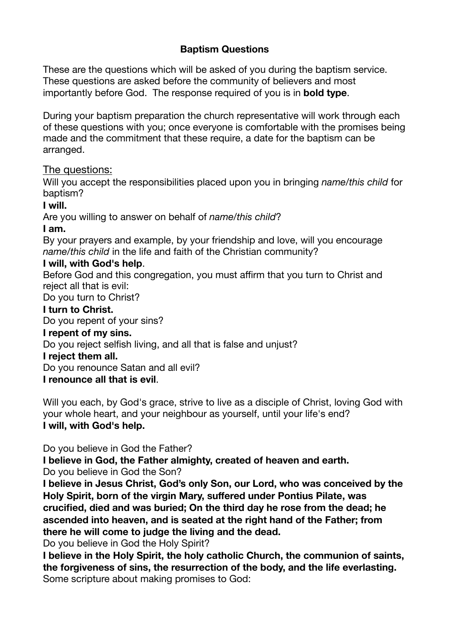# **Baptism Questions**

These are the questions which will be asked of you during the baptism service. These questions are asked before the community of believers and most importantly before God. The response required of you is in **bold type**.

During your baptism preparation the church representative will work through each of these questions with you; once everyone is comfortable with the promises being made and the commitment that these require, a date for the baptism can be arranged.

### The questions:

Will you accept the responsibilities placed upon you in bringing *name/this child* for baptism?

#### **I will.**

Are you willing to answer on behalf of *name/this child*?

### **I am.**

By your prayers and example, by your friendship and love, will you encourage *name/this child* in the life and faith of the Christian community?

### **I will, with God's help**.

Before God and this congregation, you must affirm that you turn to Christ and reject all that is evil:

Do you turn to Christ?

### **I turn to Christ.**

Do you repent of your sins?

#### **I repent of my sins.**

Do you reject selfish living, and all that is false and unjust?

#### **I reject them all.**

Do you renounce Satan and all evil?

# **I renounce all that is evil**.

Will you each, by God's grace, strive to live as a disciple of Christ, loving God with your whole heart, and your neighbour as yourself, until your life's end? **I will, with God's help.** 

Do you believe in God the Father?

**I believe in God, the Father almighty, created of heaven and earth.**  Do you believe in God the Son?

**I believe in Jesus Christ, God's only Son, our Lord, who was conceived by the Holy Spirit, born of the virgin Mary, suffered under Pontius Pilate, was crucified, died and was buried; On the third day he rose from the dead; he ascended into heaven, and is seated at the right hand of the Father; from there he will come to judge the living and the dead.** 

Do you believe in God the Holy Spirit?

**I believe in the Holy Spirit, the holy catholic Church, the communion of saints, the forgiveness of sins, the resurrection of the body, and the life everlasting.** Some scripture about making promises to God: